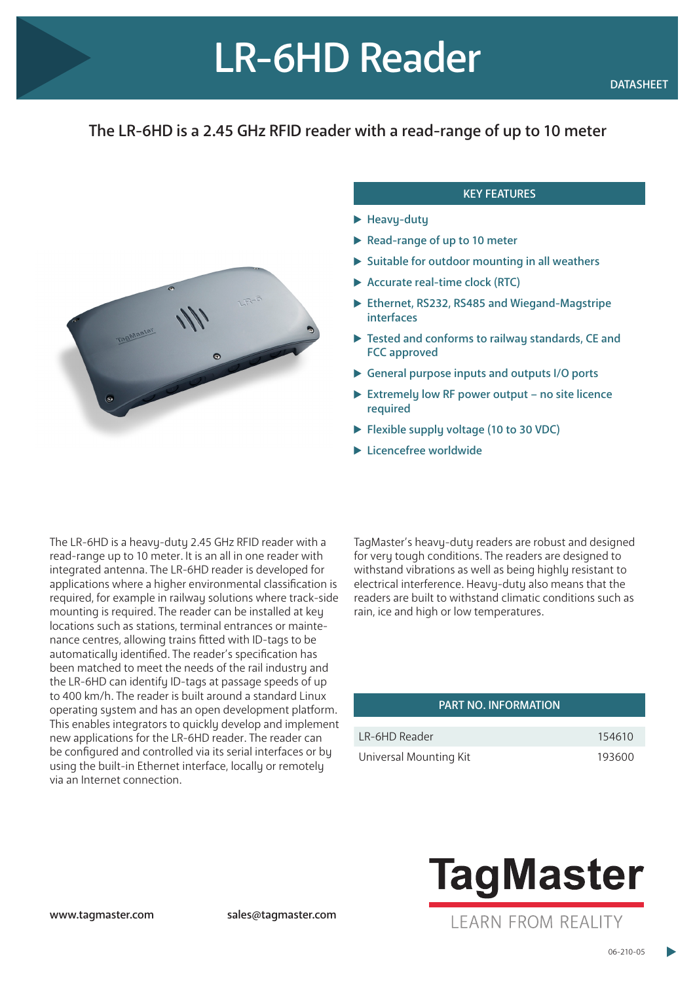## The LR-6HD is a 2.45 GHz RFID reader with a read-range of up to 10 meter



## KEY FEATURES

- $\blacktriangleright$  Heavy-duty
- Read-range of up to 10 meter
- $\triangleright$  Suitable for outdoor mounting in all weathers
- Accurate real-time clock (RTC)
- ▶ Ethernet, RS232, RS485 and Wiegand-Magstripe interfaces
- ▶ Tested and conforms to railway standards, CE and FCC approved
- General purpose inputs and outputs I/O ports
- Extremely low RF power output no site licence required
- Flexible supply voltage (10 to 30 VDC)
- **Licencefree worldwide**

The LR-6HD is a heavy-duty 2.45 GHz RFID reader with a read-range up to 10 meter. It is an all in one reader with integrated antenna. The LR-6HD reader is developed for applications where a higher environmental classification is required, for example in railway solutions where track-side mounting is required. The reader can be installed at key locations such as stations, terminal entrances or maintenance centres, allowing trains fitted with ID-tags to be automatically identified. The reader's specification has been matched to meet the needs of the rail industry and the LR-6HD can identify ID-tags at passage speeds of up to 400 km/h. The reader is built around a standard Linux operating system and has an open development platform. This enables integrators to quickly develop and implement new applications for the LR-6HD reader. The reader can be configured and controlled via its serial interfaces or by using the built-in Ethernet interface, locally or remotely via an Internet connection.

TagMaster's heavy-duty readers are robust and designed for very tough conditions. The readers are designed to withstand vibrations as well as being highly resistant to electrical interference. Heavy-duty also means that the readers are built to withstand climatic conditions such as rain, ice and high or low temperatures.

## PART NO. INFORMATION

| LR-6HD Reader          | 154610 |
|------------------------|--------|
| Universal Mounting Kit | 193600 |